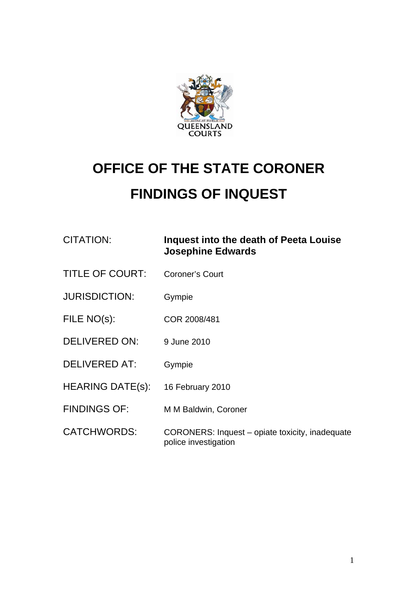

## **OFFICE OF THE STATE CORONER FINDINGS OF INQUEST**

## CITATION: **Inquest into the death of Peeta Louise Josephine Edwards**

- TITLE OF COURT: Coroner's Court
- JURISDICTION: Gympie
- FILE NO(s): COR 2008/481
- DELIVERED ON: 9 June 2010
- DELIVERED AT: Gympie
- HEARING DATE(s): 16 February 2010
- FINDINGS OF: M M Baldwin, Coroner
- CATCHWORDS: CORONERS: Inquest opiate toxicity, inadequate police investigation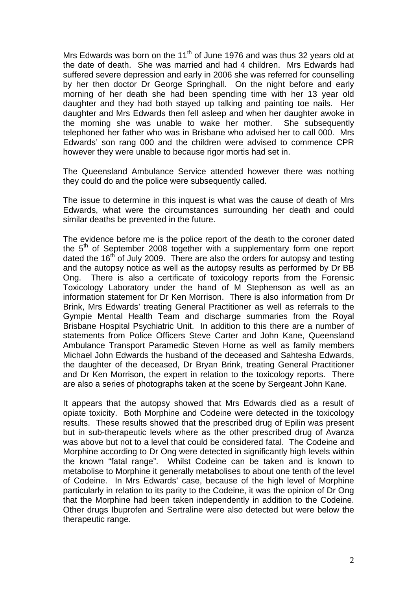Mrs Edwards was born on the 11<sup>th</sup> of June 1976 and was thus 32 years old at the date of death. She was married and had 4 children. Mrs Edwards had suffered severe depression and early in 2006 she was referred for counselling by her then doctor Dr George Springhall. On the night before and early morning of her death she had been spending time with her 13 year old daughter and they had both stayed up talking and painting toe nails. Her daughter and Mrs Edwards then fell asleep and when her daughter awoke in the morning she was unable to wake her mother. She subsequently telephoned her father who was in Brisbane who advised her to call 000. Mrs Edwards' son rang 000 and the children were advised to commence CPR however they were unable to because rigor mortis had set in.

The Queensland Ambulance Service attended however there was nothing they could do and the police were subsequently called.

The issue to determine in this inquest is what was the cause of death of Mrs Edwards, what were the circumstances surrounding her death and could similar deaths be prevented in the future.

The evidence before me is the police report of the death to the coroner dated the  $5<sup>th</sup>$  of September 2008 together with a supplementary form one report dated the 16<sup>th</sup> of July 2009. There are also the orders for autopsy and testing and the autopsy notice as well as the autopsy results as performed by Dr BB Ong. There is also a certificate of toxicology reports from the Forensic Toxicology Laboratory under the hand of M Stephenson as well as an information statement for Dr Ken Morrison. There is also information from Dr Brink, Mrs Edwards' treating General Practitioner as well as referrals to the Gympie Mental Health Team and discharge summaries from the Royal Brisbane Hospital Psychiatric Unit. In addition to this there are a number of statements from Police Officers Steve Carter and John Kane, Queensland Ambulance Transport Paramedic Steven Horne as well as family members Michael John Edwards the husband of the deceased and Sahtesha Edwards, the daughter of the deceased, Dr Bryan Brink, treating General Practitioner and Dr Ken Morrison, the expert in relation to the toxicology reports. There are also a series of photographs taken at the scene by Sergeant John Kane.

It appears that the autopsy showed that Mrs Edwards died as a result of opiate toxicity. Both Morphine and Codeine were detected in the toxicology results. These results showed that the prescribed drug of Epilin was present but in sub-therapeutic levels where as the other prescribed drug of Avanza was above but not to a level that could be considered fatal. The Codeine and Morphine according to Dr Ong were detected in significantly high levels within the known "fatal range". Whilst Codeine can be taken and is known to metabolise to Morphine it generally metabolises to about one tenth of the level of Codeine. In Mrs Edwards' case, because of the high level of Morphine particularly in relation to its parity to the Codeine, it was the opinion of Dr Ong that the Morphine had been taken independently in addition to the Codeine. Other drugs Ibuprofen and Sertraline were also detected but were below the therapeutic range.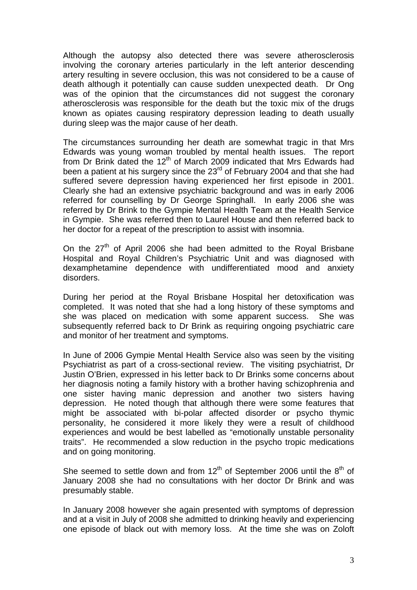Although the autopsy also detected there was severe atherosclerosis involving the coronary arteries particularly in the left anterior descending artery resulting in severe occlusion, this was not considered to be a cause of death although it potentially can cause sudden unexpected death. Dr Ong was of the opinion that the circumstances did not suggest the coronary atherosclerosis was responsible for the death but the toxic mix of the drugs known as opiates causing respiratory depression leading to death usually during sleep was the major cause of her death.

The circumstances surrounding her death are somewhat tragic in that Mrs Edwards was young woman troubled by mental health issues. The report from Dr Brink dated the 12<sup>th</sup> of March 2009 indicated that Mrs Edwards had been a patient at his surgery since the 23<sup>rd</sup> of February 2004 and that she had suffered severe depression having experienced her first episode in 2001. Clearly she had an extensive psychiatric background and was in early 2006 referred for counselling by Dr George Springhall. In early 2006 she was referred by Dr Brink to the Gympie Mental Health Team at the Health Service in Gympie. She was referred then to Laurel House and then referred back to her doctor for a repeat of the prescription to assist with insomnia.

On the  $27<sup>th</sup>$  of April 2006 she had been admitted to the Royal Brisbane Hospital and Royal Children's Psychiatric Unit and was diagnosed with dexamphetamine dependence with undifferentiated mood and anxiety disorders.

During her period at the Royal Brisbane Hospital her detoxification was completed. It was noted that she had a long history of these symptoms and she was placed on medication with some apparent success. She was subsequently referred back to Dr Brink as requiring ongoing psychiatric care and monitor of her treatment and symptoms.

In June of 2006 Gympie Mental Health Service also was seen by the visiting Psychiatrist as part of a cross-sectional review. The visiting psychiatrist, Dr Justin O'Brien, expressed in his letter back to Dr Brinks some concerns about her diagnosis noting a family history with a brother having schizophrenia and one sister having manic depression and another two sisters having depression. He noted though that although there were some features that might be associated with bi-polar affected disorder or psycho thymic personality, he considered it more likely they were a result of childhood experiences and would be best labelled as "emotionally unstable personality traits". He recommended a slow reduction in the psycho tropic medications and on going monitoring.

She seemed to settle down and from  $12<sup>th</sup>$  of September 2006 until the  $8<sup>th</sup>$  of January 2008 she had no consultations with her doctor Dr Brink and was presumably stable.

In January 2008 however she again presented with symptoms of depression and at a visit in July of 2008 she admitted to drinking heavily and experiencing one episode of black out with memory loss. At the time she was on Zoloft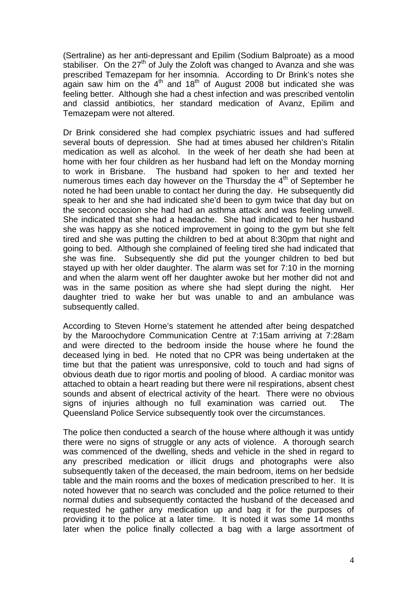(Sertraline) as her anti-depressant and Epilim (Sodium Balproate) as a mood stabiliser. On the  $27<sup>th</sup>$  of July the Zoloft was changed to Avanza and she was prescribed Temazepam for her insomnia. According to Dr Brink's notes she again saw him on the  $4<sup>th</sup>$  and 18<sup>th</sup> of August 2008 but indicated she was feeling better. Although she had a chest infection and was prescribed ventolin and classid antibiotics, her standard medication of Avanz, Epilim and Temazepam were not altered.

Dr Brink considered she had complex psychiatric issues and had suffered several bouts of depression. She had at times abused her children's Ritalin medication as well as alcohol. In the week of her death she had been at home with her four children as her husband had left on the Monday morning to work in Brisbane. The husband had spoken to her and texted her numerous times each day however on the Thursday the  $4<sup>th</sup>$  of September he noted he had been unable to contact her during the day. He subsequently did speak to her and she had indicated she'd been to gym twice that day but on the second occasion she had had an asthma attack and was feeling unwell. She indicated that she had a headache. She had indicated to her husband she was happy as she noticed improvement in going to the gym but she felt tired and she was putting the children to bed at about 8:30pm that night and going to bed. Although she complained of feeling tired she had indicated that she was fine. Subsequently she did put the younger children to bed but stayed up with her older daughter. The alarm was set for 7:10 in the morning and when the alarm went off her daughter awoke but her mother did not and was in the same position as where she had slept during the night. Her daughter tried to wake her but was unable to and an ambulance was subsequently called.

According to Steven Horne's statement he attended after being despatched by the Maroochydore Communication Centre at 7:15am arriving at 7:28am and were directed to the bedroom inside the house where he found the deceased lying in bed. He noted that no CPR was being undertaken at the time but that the patient was unresponsive, cold to touch and had signs of obvious death due to rigor mortis and pooling of blood. A cardiac monitor was attached to obtain a heart reading but there were nil respirations, absent chest sounds and absent of electrical activity of the heart. There were no obvious signs of injuries although no full examination was carried out. The Queensland Police Service subsequently took over the circumstances.

The police then conducted a search of the house where although it was untidy there were no signs of struggle or any acts of violence. A thorough search was commenced of the dwelling, sheds and vehicle in the shed in regard to any prescribed medication or illicit drugs and photographs were also subsequently taken of the deceased, the main bedroom, items on her bedside table and the main rooms and the boxes of medication prescribed to her. It is noted however that no search was concluded and the police returned to their normal duties and subsequently contacted the husband of the deceased and requested he gather any medication up and bag it for the purposes of providing it to the police at a later time. It is noted it was some 14 months later when the police finally collected a bag with a large assortment of